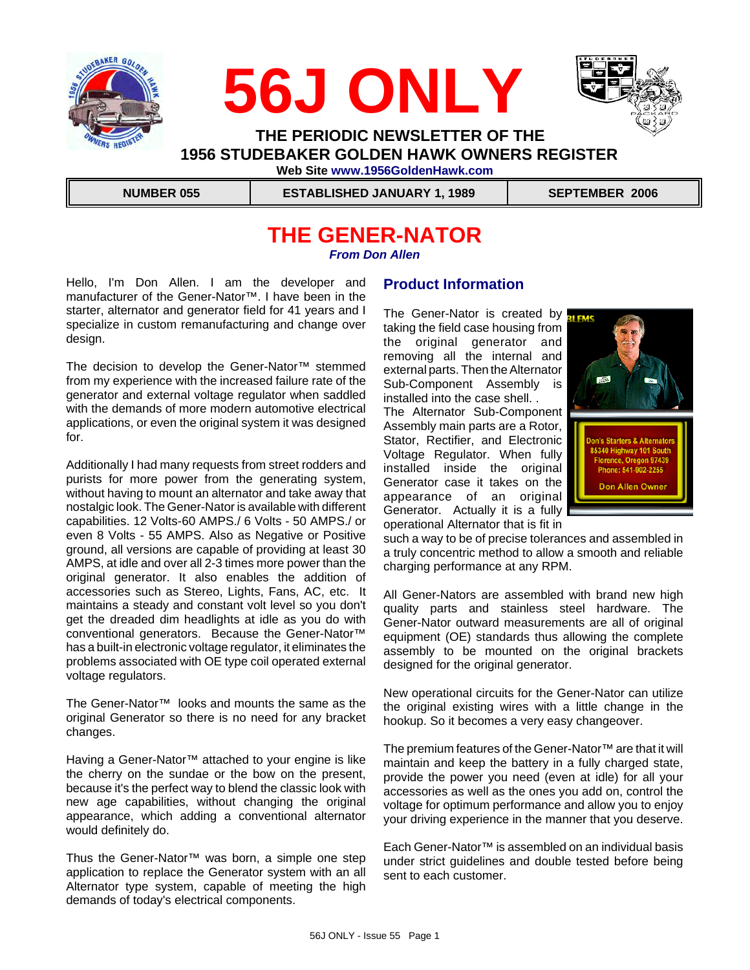





 **THE PERIODIC NEWSLETTER OF THE 1956 STUDEBAKER GOLDEN HAWK OWNERS REGISTER Web Site www.1956GoldenHawk.com**

 **NUMBER 055 ESTABLISHED JANUARY 1, 1989 SEPTEMBER 2006**

### **THE GENER-NATOR** *From Don Allen*

Hello, I'm Don Allen. I am the developer and manufacturer of the Gener-Nator™. I have been in the starter, alternator and generator field for 41 years and I specialize in custom remanufacturing and change over design.

The decision to develop the Gener-Nator™ stemmed from my experience with the increased failure rate of the generator and external voltage regulator when saddled with the demands of more modern automotive electrical applications, or even the original system it was designed for.

Additionally I had many requests from street rodders and purists for more power from the generating system, without having to mount an alternator and take away that nostalgic look. The Gener-Nator is available with different capabilities. 12 Volts-60 AMPS./ 6 Volts - 50 AMPS./ or even 8 Volts - 55 AMPS. Also as Negative or Positive ground, all versions are capable of providing at least 30 AMPS, at idle and over all 2-3 times more power than the original generator. It also enables the addition of accessories such as Stereo, Lights, Fans, AC, etc. It maintains a steady and constant volt level so you don't get the dreaded dim headlights at idle as you do with conventional generators. Because the Gener-Nator™ has a built-in electronic voltage regulator, it eliminates the problems associated with OE type coil operated external voltage regulators.

The Gener-Nator™ looks and mounts the same as the original Generator so there is no need for any bracket changes.

Having a Gener-Nator™ attached to your engine is like the cherry on the sundae or the bow on the present, because it's the perfect way to blend the classic look with new age capabilities, without changing the original appearance, which adding a conventional alternator would definitely do.

Thus the Gener-Nator™ was born, a simple one step application to replace the Generator system with an all Alternator type system, capable of meeting the high demands of today's electrical components.

### **Product Information**

The Gener-Nator is created by **PLEAS** taking the field case housing from the original generator and removing all the internal and external parts. Then the Alternator Sub-Component Assembly is installed into the case shell. .

The Alternator Sub-Component Assembly main parts are a Rotor, Stator, Rectifier, and Electronic Voltage Regulator. When fully installed inside the original Generator case it takes on the appearance of an original Generator. Actually it is a fully operational Alternator that is fit in



such a way to be of precise tolerances and assembled in a truly concentric method to allow a smooth and reliable charging performance at any RPM.

All Gener-Nators are assembled with brand new high quality parts and stainless steel hardware. The Gener-Nator outward measurements are all of original equipment (OE) standards thus allowing the complete assembly to be mounted on the original brackets designed for the original generator.

New operational circuits for the Gener-Nator can utilize the original existing wires with a little change in the hookup. So it becomes a very easy changeover.

The premium features of the Gener-Nator™ are that it will maintain and keep the battery in a fully charged state, provide the power you need (even at idle) for all your accessories as well as the ones you add on, control the voltage for optimum performance and allow you to enjoy your driving experience in the manner that you deserve.

Each Gener-Nator™ is assembled on an individual basis under strict guidelines and double tested before being sent to each customer.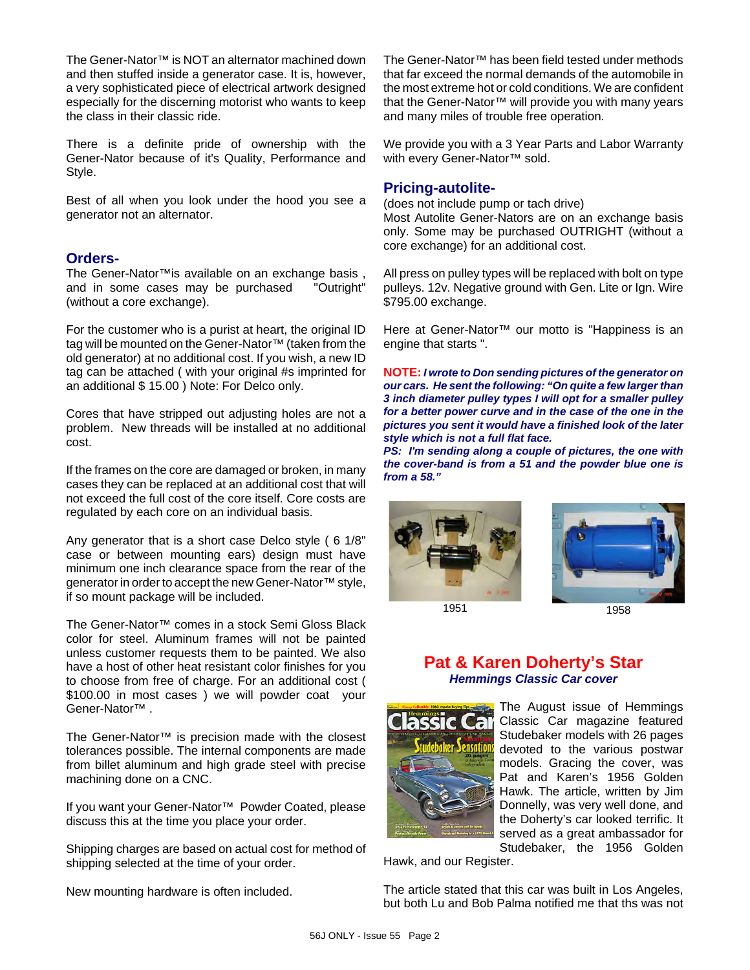The Gener-Nator™ is NOT an alternator machined down and then stuffed inside a generator case. It is, however, a very sophisticated piece of electrical artwork designed especially for the discerning motorist who wants to keep the class in their classic ride.

There is a definite pride of ownership with the Gener-Nator because of it's Quality, Performance and Style.

Best of all when you look under the hood you see a generator not an alternator.

### **Orders-**

The Gener-Nator™is available on an exchange basis , and in some cases may be purchased "Outright" (without a core exchange).

For the customer who is a purist at heart, the original ID tag will be mounted on the Gener-Nator™ (taken from the old generator) at no additional cost. If you wish, a new ID tag can be attached ( with your original #s imprinted for an additional \$ 15.00 ) Note: For Delco only.

Cores that have stripped out adjusting holes are not a problem. New threads will be installed at no additional cost.

If the frames on the core are damaged or broken, in many cases they can be replaced at an additional cost that will not exceed the full cost of the core itself. Core costs are regulated by each core on an individual basis.

Any generator that is a short case Delco style ( 6 1/8" case or between mounting ears) design must have minimum one inch clearance space from the rear of the generator in order to accept the new Gener-Nator™ style, if so mount package will be included.

The Gener-Nator™ comes in a stock Semi Gloss Black color for steel. Aluminum frames will not be painted unless customer requests them to be painted. We also have a host of other heat resistant color finishes for you to choose from free of charge. For an additional cost ( \$100.00 in most cases ) we will powder coat your Gener-Nator™ .

The Gener-Nator™ is precision made with the closest tolerances possible. The internal components are made from billet aluminum and high grade steel with precise machining done on a CNC.

If you want your Gener-Nator™ Powder Coated, please discuss this at the time you place your order.

Shipping charges are based on actual cost for method of shipping selected at the time of your order.

New mounting hardware is often included.

The Gener-Nator™ has been field tested under methods that far exceed the normal demands of the automobile in the most extreme hot or cold conditions. We are confident that the Gener-Nator™ will provide you with many years and many miles of trouble free operation.

We provide you with a 3 Year Parts and Labor Warranty with every Gener-Nator<sup>™</sup> sold.

### **Pricing-autolite-**

(does not include pump or tach drive) Most Autolite Gener-Nators are on an exchange basis only. Some may be purchased OUTRIGHT (without a core exchange) for an additional cost.

All press on pulley types will be replaced with bolt on type pulleys. 12v. Negative ground with Gen. Lite or Ign. Wire \$795.00 exchange.

Here at Gener-Nator<sup>™</sup> our motto is "Happiness is an engine that starts ".

**NOTE:** *I wrote to Don sending pictures of the generator on our cars. He sent the following: "On quite a few larger than 3 inch diameter pulley types I will opt for a smaller pulley for a better power curve and in the case of the one in the pictures you sent it would have a finished look of the later style which is not a full flat face.*

*PS: I'm sending along a couple of pictures, the one with the cover-band is from a 51 and the powder blue one is from a 58."*



1951 1958



### **Pat & Karen Doherty's Star** *Hemmings Classic Car cover*



The August issue of Hemmings Classic Car magazine featured Studebaker models with 26 pages devoted to the various postwar models. Gracing the cover, was Pat and Karen's 1956 Golden Hawk. The article, written by Jim Donnelly, was very well done, and the Doherty's car looked terrific. It served as a great ambassador for Studebaker, the 1956 Golden

Hawk, and our Register.

The article stated that this car was built in Los Angeles, but both Lu and Bob Palma notified me that ths was not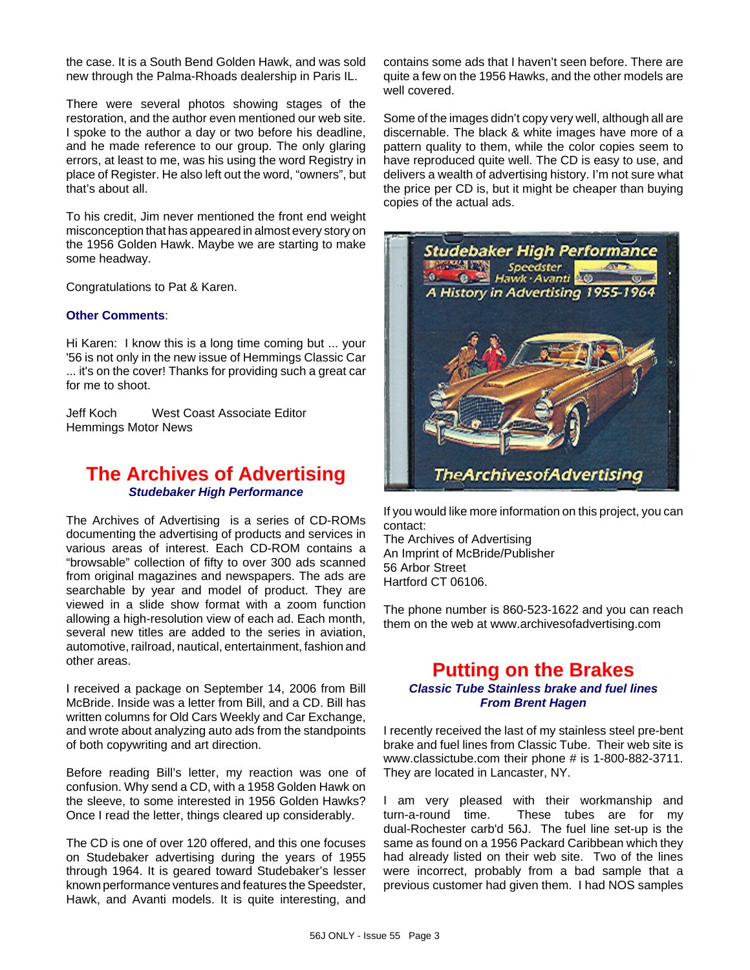the case. It is a South Bend Golden Hawk, and was sold new through the Palma-Rhoads dealership in Paris IL.

There were several photos showing stages of the restoration, and the author even mentioned our web site. I spoke to the author a day or two before his deadline, and he made reference to our group. The only glaring errors, at least to me, was his using the word Registry in place of Register. He also left out the word, "owners", but that's about all.

To his credit, Jim never mentioned the front end weight misconception that has appeared in almost every story on the 1956 Golden Hawk. Maybe we are starting to make some headway.

Congratulations to Pat & Karen.

### **Other Comments**:

Hi Karen: I know this is a long time coming but ... your '56 is not only in the new issue of Hemmings Classic Car ... it's on the cover! Thanks for providing such a great car for me to shoot.

Jeff Koch West Coast Associate Editor Hemmings Motor News

### **The Archives of Advertising** *Studebaker High Performance*

The Archives of Advertising is a series of CD-ROMs documenting the advertising of products and services in various areas of interest. Each CD-ROM contains a "browsable" collection of fifty to over 300 ads scanned from original magazines and newspapers. The ads are searchable by year and model of product. They are viewed in a slide show format with a zoom function allowing a high-resolution view of each ad. Each month, several new titles are added to the series in aviation, automotive, railroad, nautical, entertainment, fashion and other areas.

I received a package on September 14, 2006 from Bill McBride. Inside was a letter from Bill, and a CD. Bill has written columns for Old Cars Weekly and Car Exchange, and wrote about analyzing auto ads from the standpoints of both copywriting and art direction.

Before reading Bill's letter, my reaction was one of confusion. Why send a CD, with a 1958 Golden Hawk on the sleeve, to some interested in 1956 Golden Hawks? Once I read the letter, things cleared up considerably.

The CD is one of over 120 offered, and this one focuses on Studebaker advertising during the years of 1955 through 1964. It is geared toward Studebaker's lesser known performance ventures and features the Speedster, Hawk, and Avanti models. It is quite interesting, and contains some ads that I haven't seen before. There are quite a few on the 1956 Hawks, and the other models are well covered.

Some of the images didn't copy very well, although all are discernable. The black & white images have more of a pattern quality to them, while the color copies seem to have reproduced quite well. The CD is easy to use, and delivers a wealth of advertising history. I'm not sure what the price per CD is, but it might be cheaper than buying copies of the actual ads.



If you would like more information on this project, you can contact:

The Archives of Advertising An Imprint of McBride/Publisher 56 Arbor Street Hartford CT 06106.

The phone number is 860-523-1622 and you can reach them on the web at www.archivesofadvertising.com

### **Putting on the Brakes** *Classic Tube Stainless brake and fuel lines From Brent Hagen*

I recently received the last of my stainless steel pre-bent brake and fuel lines from Classic Tube. Their web site is www.classictube.com their phone # is 1-800-882-3711. They are located in Lancaster, NY.

I am very pleased with their workmanship and turn-a-round time. These tubes are for my dual-Rochester carb'd 56J. The fuel line set-up is the same as found on a 1956 Packard Caribbean which they had already listed on their web site. Two of the lines were incorrect, probably from a bad sample that a previous customer had given them. I had NOS samples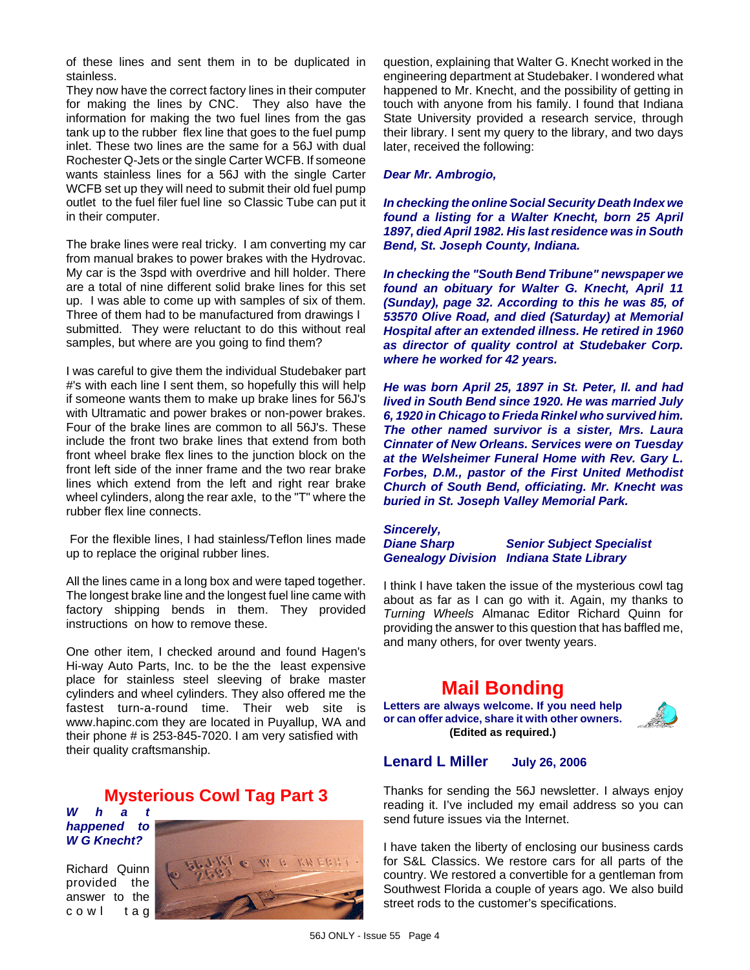of these lines and sent them in to be duplicated in stainless.

They now have the correct factory lines in their computer for making the lines by CNC. They also have the information for making the two fuel lines from the gas tank up to the rubber flex line that goes to the fuel pump inlet. These two lines are the same for a 56J with dual Rochester Q-Jets or the single Carter WCFB. If someone wants stainless lines for a 56J with the single Carter WCFB set up they will need to submit their old fuel pump outlet to the fuel filer fuel line so Classic Tube can put it in their computer.

The brake lines were real tricky. I am converting my car from manual brakes to power brakes with the Hydrovac. My car is the 3spd with overdrive and hill holder. There are a total of nine different solid brake lines for this set up. I was able to come up with samples of six of them. Three of them had to be manufactured from drawings I submitted. They were reluctant to do this without real samples, but where are you going to find them?

I was careful to give them the individual Studebaker part #'s with each line I sent them, so hopefully this will help if someone wants them to make up brake lines for 56J's with Ultramatic and power brakes or non-power brakes. Four of the brake lines are common to all 56J's. These include the front two brake lines that extend from both front wheel brake flex lines to the junction block on the front left side of the inner frame and the two rear brake lines which extend from the left and right rear brake wheel cylinders, along the rear axle, to the "T" where the rubber flex line connects.

 For the flexible lines, I had stainless/Teflon lines made up to replace the original rubber lines.

All the lines came in a long box and were taped together. The longest brake line and the longest fuel line came with factory shipping bends in them. They provided instructions on how to remove these.

One other item, I checked around and found Hagen's Hi-way Auto Parts, Inc. to be the the least expensive place for stainless steel sleeving of brake master cylinders and wheel cylinders. They also offered me the fastest turn-a-round time. Their web site is www.hapinc.com they are located in Puyallup, WA and their phone # is 253-845-7020. I am very satisfied with their quality craftsmanship.

### **Mysterious Cowl Tag Part 3**

*What happened to W G Knecht?*

Richard Quinn provided the answer to the cowl tag



question, explaining that Walter G. Knecht worked in the engineering department at Studebaker. I wondered what happened to Mr. Knecht, and the possibility of getting in touch with anyone from his family. I found that Indiana State University provided a research service, through their library. I sent my query to the library, and two days later, received the following:

### *Dear Mr. Ambrogio,*

*In checking the online Social Security Death Index we found a listing for a Walter Knecht, born 25 April 1897, died April 1982. His last residence was in South Bend, St. Joseph County, Indiana.*

*In checking the "South Bend Tribune" newspaper we found an obituary for Walter G. Knecht, April 11 (Sunday), page 32. According to this he was 85, of 53570 Olive Road, and died (Saturday) at Memorial Hospital after an extended illness. He retired in 1960 as director of quality control at Studebaker Corp. where he worked for 42 years.* 

*He was born April 25, 1897 in St. Peter, Il. and had lived in South Bend since 1920. He was married July 6, 1920 in Chicago to Frieda Rinkel who survived him. The other named survivor is a sister, Mrs. Laura Cinnater of New Orleans. Services were on Tuesday at the Welsheimer Funeral Home with Rev. Gary L. Forbes, D.M., pastor of the First United Methodist Church of South Bend, officiating. Mr. Knecht was buried in St. Joseph Valley Memorial Park.*

*Sincerely,*

*Diane Sharp Senior Subject Specialist Genealogy Division Indiana State Library*

I think I have taken the issue of the mysterious cowl tag about as far as I can go with it. Again, my thanks to *Turning Wheels* Almanac Editor Richard Quinn for providing the answer to this question that has baffled me, and many others, for over twenty years.

## **Mail Bonding**

**Letters are always welcome. If you need help or can offer advice, share it with other owners. (Edited as required.)**



### **Lenard L Miller July 26, 2006**

Thanks for sending the 56J newsletter. I always enjoy reading it. I've included my email address so you can send future issues via the Internet.

I have taken the liberty of enclosing our business cards for S&L Classics. We restore cars for all parts of the country. We restored a convertible for a gentleman from Southwest Florida a couple of years ago. We also build street rods to the customer's specifications.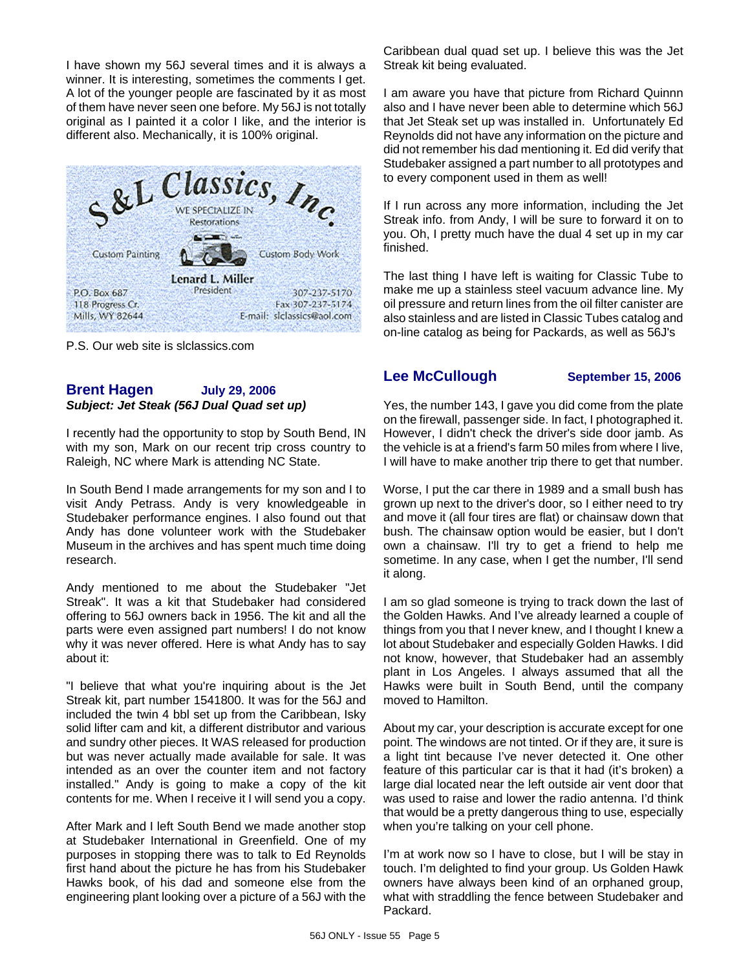I have shown my 56J several times and it is always a winner. It is interesting, sometimes the comments I get. A lot of the younger people are fascinated by it as most of them have never seen one before. My 56J is not totally original as I painted it a color I like, and the interior is different also. Mechanically, it is 100% original.



P.S. Our web site is slclassics.com

### **Brent Hagen July 29, 2006** *Subject: Jet Steak (56J Dual Quad set up)*

I recently had the opportunity to stop by South Bend, IN with my son, Mark on our recent trip cross country to Raleigh, NC where Mark is attending NC State.

In South Bend I made arrangements for my son and I to visit Andy Petrass. Andy is very knowledgeable in Studebaker performance engines. I also found out that Andy has done volunteer work with the Studebaker Museum in the archives and has spent much time doing research.

Andy mentioned to me about the Studebaker "Jet Streak". It was a kit that Studebaker had considered offering to 56J owners back in 1956. The kit and all the parts were even assigned part numbers! I do not know why it was never offered. Here is what Andy has to say about it:

"I believe that what you're inquiring about is the Jet Streak kit, part number 1541800. It was for the 56J and included the twin 4 bbl set up from the Caribbean, Isky solid lifter cam and kit, a different distributor and various and sundry other pieces. It WAS released for production but was never actually made available for sale. It was intended as an over the counter item and not factory installed." Andy is going to make a copy of the kit contents for me. When I receive it I will send you a copy.

After Mark and I left South Bend we made another stop at Studebaker International in Greenfield. One of my purposes in stopping there was to talk to Ed Reynolds first hand about the picture he has from his Studebaker Hawks book, of his dad and someone else from the engineering plant looking over a picture of a 56J with the Caribbean dual quad set up. I believe this was the Jet Streak kit being evaluated.

I am aware you have that picture from Richard Quinnn also and I have never been able to determine which 56J that Jet Steak set up was installed in. Unfortunately Ed Reynolds did not have any information on the picture and did not remember his dad mentioning it. Ed did verify that Studebaker assigned a part number to all prototypes and to every component used in them as well!

If I run across any more information, including the Jet Streak info. from Andy, I will be sure to forward it on to you. Oh, I pretty much have the dual 4 set up in my car finished.

The last thing I have left is waiting for Classic Tube to make me up a stainless steel vacuum advance line. My oil pressure and return lines from the oil filter canister are also stainless and are listed in Classic Tubes catalog and on-line catalog as being for Packards, as well as 56J's

### **Lee McCullough September 15, 2006**

Yes, the number 143, I gave you did come from the plate on the firewall, passenger side. In fact, I photographed it. However, I didn't check the driver's side door jamb. As the vehicle is at a friend's farm 50 miles from where I live, I will have to make another trip there to get that number.

Worse, I put the car there in 1989 and a small bush has grown up next to the driver's door, so I either need to try and move it (all four tires are flat) or chainsaw down that bush. The chainsaw option would be easier, but I don't own a chainsaw. I'll try to get a friend to help me sometime. In any case, when I get the number, I'll send it along.

I am so glad someone is trying to track down the last of the Golden Hawks. And I've already learned a couple of things from you that I never knew, and I thought I knew a lot about Studebaker and especially Golden Hawks. I did not know, however, that Studebaker had an assembly plant in Los Angeles. I always assumed that all the Hawks were built in South Bend, until the company moved to Hamilton.

About my car, your description is accurate except for one point. The windows are not tinted. Or if they are, it sure is a light tint because I've never detected it. One other feature of this particular car is that it had (it's broken) a large dial located near the left outside air vent door that was used to raise and lower the radio antenna. I'd think that would be a pretty dangerous thing to use, especially when you're talking on your cell phone.

I'm at work now so I have to close, but I will be stay in touch. I'm delighted to find your group. Us Golden Hawk owners have always been kind of an orphaned group, what with straddling the fence between Studebaker and Packard.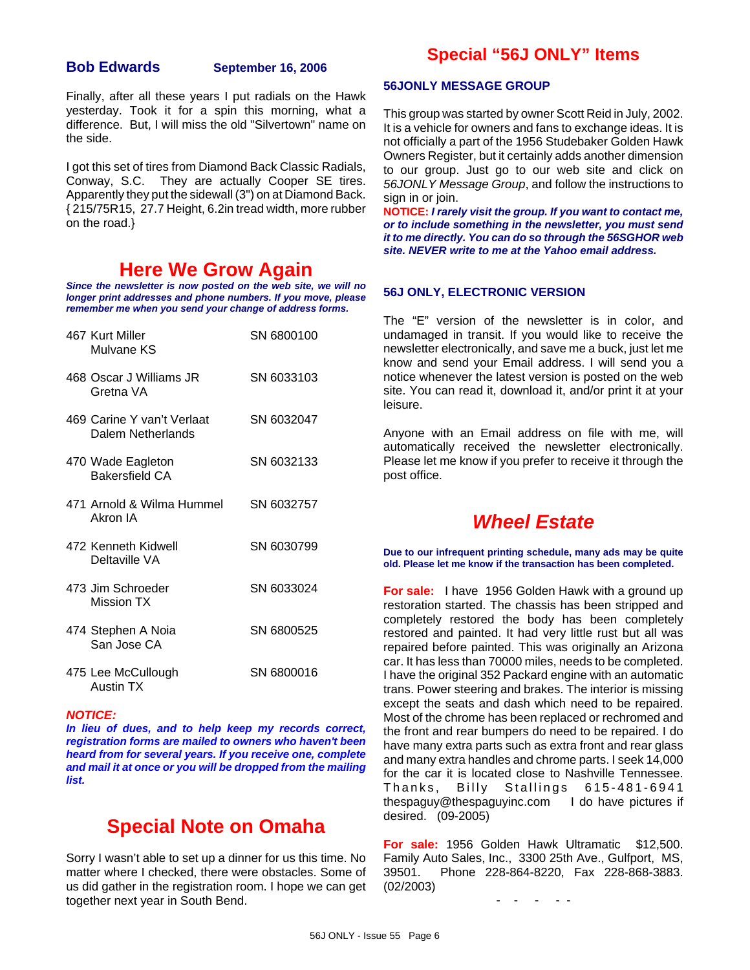### **Bob Edwards September 16, 2006**

Finally, after all these years I put radials on the Hawk yesterday. Took it for a spin this morning, what a difference. But, I will miss the old "Silvertown" name on the side.

I got this set of tires from Diamond Back Classic Radials, Conway, S.C. They are actually Cooper SE tires. Apparently they put the sidewall (3") on at Diamond Back. { 215/75R15, 27.7 Height, 6.2in tread width, more rubber on the road.}

### **Here We Grow Again**

*Since the newsletter is now posted on the web site, we will no longer print addresses and phone numbers. If you move, please remember me when you send your change of address forms.*

| 467 Kurt Miller<br>Mulvane KS                   | SN 6800100 |
|-------------------------------------------------|------------|
| 468 Oscar J Williams JR<br>Gretna VA            | SN 6033103 |
| 469 Carine Y van't Verlaat<br>Dalem Netherlands | SN 6032047 |
| 470 Wade Eagleton<br><b>Bakersfield CA</b>      | SN 6032133 |
| 471 Arnold & Wilma Hummel<br>Akron IA           | SN 6032757 |
| 472 Kenneth Kidwell<br>Deltaville VA            | SN 6030799 |
| 473 Jim Schroeder<br><b>Mission TX</b>          | SN 6033024 |
| 474 Stephen A Noia<br>San Jose CA               | SN 6800525 |
| 475 Lee McCullough<br>Austin TX                 | SN 6800016 |

#### *NOTICE:*

*In lieu of dues, and to help keep my records correct, registration forms are mailed to owners who haven't been heard from for several years. If you receive one, complete and mail it at once or you will be dropped from the mailing list.*

## **Special Note on Omaha**

Sorry I wasn't able to set up a dinner for us this time. No matter where I checked, there were obstacles. Some of us did gather in the registration room. I hope we can get together next year in South Bend.

### **Special "56J ONLY" Items**

#### **56JONLY MESSAGE GROUP**

This group was started by owner Scott Reid in July, 2002. It is a vehicle for owners and fans to exchange ideas. It is not officially a part of the 1956 Studebaker Golden Hawk Owners Register, but it certainly adds another dimension to our group. Just go to our web site and click on *56JONLY Message Group*, and follow the instructions to sign in or join.

**NOTICE:** *I rarely visit the group. If you want to contact me, or to include something in the newsletter, you must send it to me directly. You can do so through the 56SGHOR web site. NEVER write to me at the Yahoo email address.*

### **56J ONLY, ELECTRONIC VERSION**

The "E" version of the newsletter is in color, and undamaged in transit. If you would like to receive the newsletter electronically, and save me a buck, just let me know and send your Email address. I will send you a notice whenever the latest version is posted on the web site. You can read it, download it, and/or print it at your leisure.

Anyone with an Email address on file with me, will automatically received the newsletter electronically. Please let me know if you prefer to receive it through the post office.

### *Wheel Estate*

**Due to our infrequent printing schedule, many ads may be quite old. Please let me know if the transaction has been completed.**

**For sale:** I have 1956 Golden Hawk with a ground up restoration started. The chassis has been stripped and completely restored the body has been completely restored and painted. It had very little rust but all was repaired before painted. This was originally an Arizona car. It has less than 70000 miles, needs to be completed. I have the original 352 Packard engine with an automatic trans. Power steering and brakes. The interior is missing except the seats and dash which need to be repaired. Most of the chrome has been replaced or rechromed and the front and rear bumpers do need to be repaired. I do have many extra parts such as extra front and rear glass and many extra handles and chrome parts. I seek 14,000 for the car it is located close to Nashville Tennessee. Thanks, Billy Stallings 615-481-6941 thespaguy@thespaguyinc.com I do have pictures if desired. (09-2005)

**For sale:** 1956 Golden Hawk Ultramatic \$12,500. Family Auto Sales, Inc., 3300 25th Ave., Gulfport, MS, 39501. Phone 228-864-8220, Fax 228-868-3883. (02/2003)

- - - - -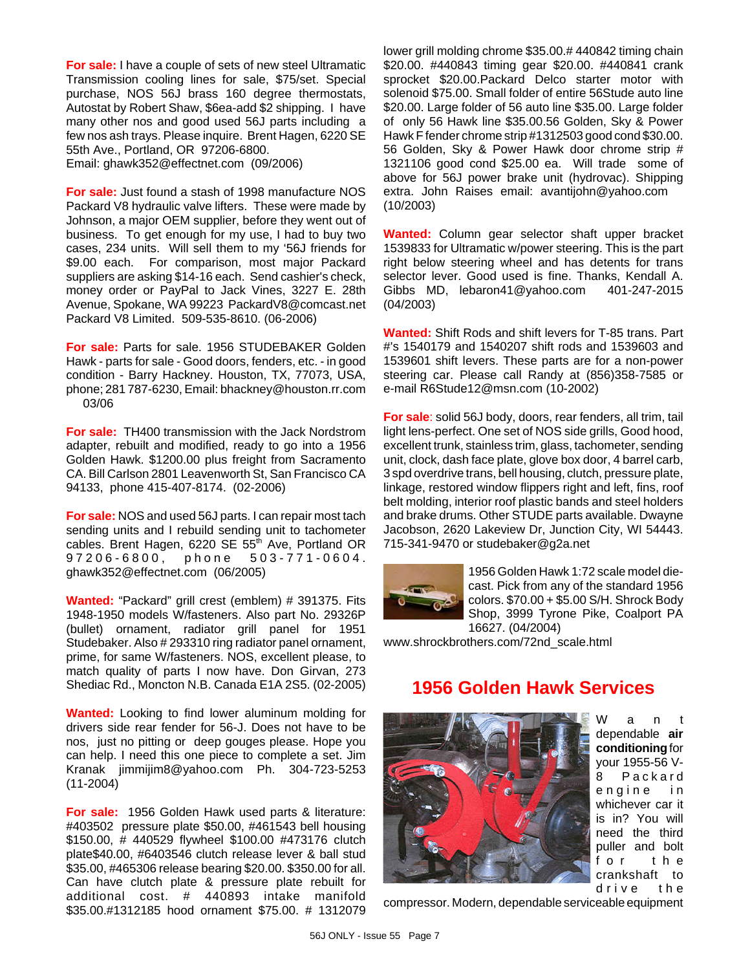**For sale:** I have a couple of sets of new steel Ultramatic Transmission cooling lines for sale, \$75/set. Special purchase, NOS 56J brass 160 degree thermostats, Autostat by Robert Shaw, \$6ea-add \$2 shipping. I have many other nos and good used 56J parts including a few nos ash trays. Please inquire. Brent Hagen, 6220 SE 55th Ave., Portland, OR 97206-6800. Email: ghawk352@effectnet.com (09/2006)

**For sale:** Just found a stash of 1998 manufacture NOS Packard V8 hydraulic valve lifters. These were made by Johnson, a major OEM supplier, before they went out of business. To get enough for my use, I had to buy two cases, 234 units. Will sell them to my '56J friends for \$9.00 each. For comparison, most major Packard suppliers are asking \$14-16 each. Send cashier's check, money order or PayPal to Jack Vines, 3227 E. 28th Avenue, Spokane, WA 99223 PackardV8@comcast.net Packard V8 Limited. 509-535-8610. (06-2006)

**For sale:** Parts for sale. 1956 STUDEBAKER Golden Hawk - parts for sale - Good doors, fenders, etc. - in good condition - Barry Hackney. Houston, TX, 77073, USA, phone; 281 787-6230, Email: bhackney@houston.rr.com 03/06

**For sale:** TH400 transmission with the Jack Nordstrom adapter, rebuilt and modified, ready to go into a 1956 Golden Hawk. \$1200.00 plus freight from Sacramento CA. Bill Carlson 2801 Leavenworth St, San Francisco CA 94133, phone 415-407-8174. (02-2006)

**For sale:** NOS and used 56J parts. I can repair most tach sending units and I rebuild sending unit to tachometer cables. Brent Hagen, 6220 SE 55<sup>th</sup> Ave, Portland OR 97206-6800, phone 503-771-0604. ghawk352@effectnet.com (06/2005)

**Wanted:** "Packard" grill crest (emblem) # 391375. Fits 1948-1950 models W/fasteners. Also part No. 29326P (bullet) ornament, radiator grill panel for 1951 Studebaker. Also # 293310 ring radiator panel ornament, prime, for same W/fasteners. NOS, excellent please, to match quality of parts I now have. Don Girvan, 273 Shediac Rd., Moncton N.B. Canada E1A 2S5. (02-2005)

**Wanted:** Looking to find lower aluminum molding for drivers side rear fender for 56-J. Does not have to be nos, just no pitting or deep gouges please. Hope you can help. I need this one piece to complete a set. Jim Kranak jimmijim8@yahoo.com Ph. 304-723-5253 (11-2004)

**For sale:** 1956 Golden Hawk used parts & literature: #403502 pressure plate \$50.00, #461543 bell housing \$150.00, # 440529 flywheel \$100.00 #473176 clutch plate\$40.00, #6403546 clutch release lever & ball stud \$35.00, #465306 release bearing \$20.00. \$350.00 for all. Can have clutch plate & pressure plate rebuilt for additional cost. # 440893 intake manifold \$35.00.#1312185 hood ornament \$75.00. # 1312079

lower grill molding chrome \$35.00.# 440842 timing chain \$20.00. #440843 timing gear \$20.00. #440841 crank sprocket \$20.00.Packard Delco starter motor with solenoid \$75.00. Small folder of entire 56Stude auto line \$20.00. Large folder of 56 auto line \$35.00. Large folder of only 56 Hawk line \$35.00.56 Golden, Sky & Power Hawk F fender chrome strip #1312503 good cond \$30.00. 56 Golden, Sky & Power Hawk door chrome strip # 1321106 good cond \$25.00 ea. Will trade some of above for 56J power brake unit (hydrovac). Shipping extra. John Raises email: avantijohn@yahoo.com (10/2003)

**Wanted:** Column gear selector shaft upper bracket 1539833 for Ultramatic w/power steering. This is the part right below steering wheel and has detents for trans selector lever. Good used is fine. Thanks, Kendall A. Gibbs MD, lebaron41@yahoo.com 401-247-2015 (04/2003)

**Wanted:** Shift Rods and shift levers for T-85 trans. Part #'s 1540179 and 1540207 shift rods and 1539603 and 1539601 shift levers. These parts are for a non-power steering car. Please call Randy at (856)358-7585 or e-mail R6Stude12@msn.com (10-2002)

**For sale**: solid 56J body, doors, rear fenders, all trim, tail light lens-perfect. One set of NOS side grills, Good hood, excellent trunk, stainless trim, glass, tachometer, sending unit, clock, dash face plate, glove box door, 4 barrel carb, 3 spd overdrive trans, bell housing, clutch, pressure plate, linkage, restored window flippers right and left, fins, roof belt molding, interior roof plastic bands and steel holders and brake drums. Other STUDE parts available. Dwayne Jacobson, 2620 Lakeview Dr, Junction City, WI 54443. 715-341-9470 or studebaker@g2a.net



1956 Golden Hawk 1:72 scale model diecast. Pick from any of the standard 1956 colors. \$70.00 + \$5.00 S/H. Shrock Body Shop, 3999 Tyrone Pike, Coalport PA 16627. (04/2004)

www.shrockbrothers.com/72nd\_scale.html

### **1956 Golden Hawk Services**



Want dependable **air conditioning** for your 1955-56 V-8 Packard engine in whichever car it is in? You will need the third puller and bolt for the crankshaft to drive the

compressor. Modern, dependable serviceable equipment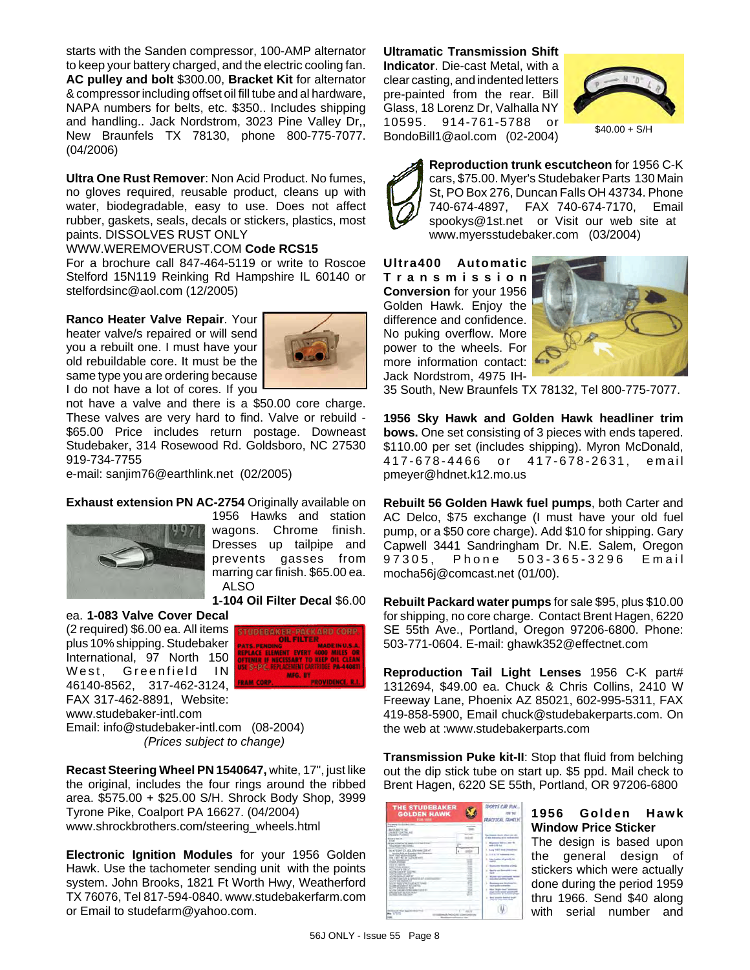starts with the Sanden compressor, 100-AMP alternator to keep your battery charged, and the electric cooling fan. **AC pulley and bolt** \$300.00, **Bracket Kit** for alternator & compressor including offset oil fill tube and al hardware, NAPA numbers for belts, etc. \$350.. Includes shipping and handling.. Jack Nordstrom, 3023 Pine Valley Dr,, New Braunfels TX 78130, phone 800-775-7077. (04/2006)

**Ultra One Rust Remover**: Non Acid Product. No fumes, no gloves required, reusable product, cleans up with water, biodegradable, easy to use. Does not affect rubber, gaskets, seals, decals or stickers, plastics, most paints. DISSOLVES RUST ONLY

#### WWW.WEREMOVERUST.COM **Code RCS15**

For a brochure call 847-464-5119 or write to Roscoe Stelford 15N119 Reinking Rd Hampshire IL 60140 or stelfordsinc@aol.com (12/2005)

#### **Ranco Heater Valve Repair**. Your

heater valve/s repaired or will send you a rebuilt one. I must have your old rebuildable core. It must be the same type you are ordering because I do not have a lot of cores. If you



not have a valve and there is a \$50.00 core charge. These valves are very hard to find. Valve or rebuild - \$65.00 Price includes return postage. Downeast Studebaker, 314 Rosewood Rd. Goldsboro, NC 27530 919-734-7755

e-mail: sanjim76@earthlink.net (02/2005)

#### **Exhaust extension PN AC-2754** Originally available on



1956 Hawks and station wagons. Chrome finish. Dresses up tailpipe and prevents gasses from marring car finish. \$65.00 ea. ALSO

**1-104 Oil Filter Decal** \$6.00

ea. **1-083 Valve Cover Decal** (2 required) \$6.00 ea. All items plus 10% shipping. Studebaker International, 97 North 150 West, Greenfield IN 46140-8562, 317-462-3124, FAX 317-462-8891, Website: www.studebaker-intl.com



Email: info@studebaker-intl.com (08-2004) *(Prices subject to change)*

**Recast Steering Wheel PN 1540647,** white, 17", just like the original, includes the four rings around the ribbed area. \$575.00 + \$25.00 S/H. Shrock Body Shop, 3999 Tyrone Pike, Coalport PA 16627. (04/2004) www.shrockbrothers.com/steering\_wheels.html

**Electronic Ignition Modules** for your 1956 Golden Hawk. Use the tachometer sending unit with the points system. John Brooks, 1821 Ft Worth Hwy, Weatherford TX 76076, Tel 817-594-0840. www.studebakerfarm.com or Email to studefarm@yahoo.com.

**Ultramatic Transmission Shift Indicator**. Die-cast Metal, with a clear casting, and indented letters pre-painted from the rear. Bill Glass, 18 Lorenz Dr, Valhalla NY 10595. 914-761-5788 or BondoBill1@aol.com (02-2004)



 $$40.00 + S/H$ 



**Reproduction trunk escutcheon** for 1956 C-K cars, \$75.00. Myer's Studebaker Parts 130 Main St, PO Box 276, Duncan Falls OH 43734. Phone 740-674-4897, FAX 740-674-7170, Email spookys@1st.net or Visit our web site at www.myersstudebaker.com (03/2004)

**Ultra400 Automatic Transmission Conversion** for your 1956 Golden Hawk. Enjoy the difference and confidence. No puking overflow. More power to the wheels. For more information contact: Jack Nordstrom, 4975 IH-



35 South, New Braunfels TX 78132, Tel 800-775-7077.

**1956 Sky Hawk and Golden Hawk headliner trim bows.** One set consisting of 3 pieces with ends tapered. \$110.00 per set (includes shipping). Myron McDonald, 417-678-4466 or 417-678- 2631, email pmeyer@hdnet.k12.mo.us

**Rebuilt 56 Golden Hawk fuel pumps**, both Carter and AC Delco, \$75 exchange (I must have your old fuel pump, or a \$50 core charge). Add \$10 for shipping. Gary Capwell 3441 Sandringham Dr. N.E. Salem, Oregon 97305, Phone 503-365-3296 Email mocha56j@comcast.net (01/00).

**Rebuilt Packard water pumps** for sale \$95, plus \$10.00 for shipping, no core charge. Contact Brent Hagen, 6220 SE 55th Ave., Portland, Oregon 97206-6800. Phone: 503-771-0604. E-mail: ghawk352@effectnet.com

**Reproduction Tail Light Lenses** 1956 C-K part# 1312694, \$49.00 ea. Chuck & Chris Collins, 2410 W Freeway Lane, Phoenix AZ 85021, 602-995-5311, FAX 419-858-5900, Email chuck@studebakerparts.com. On the web at :www.studebakerparts.com

**Transmission Puke kit-II**: Stop that fluid from belching out the dip stick tube on start up. \$5 ppd. Mail check to Brent Hagen, 6220 SE 55th, Portland, OR 97206-6800

| <b>THE STUDEBAKER</b><br><b>GOLDEN HAWK</b><br><b>FOR VALU</b><br>The season from this basic control                                                                                                                                                                                                                                                                                                                                                                                                                                                                                                                                                                                                                                                                                                                                                                       |                                                            | <b>SPORTS CAR FUN</b><br><b>PRACTICAL FAMIL</b>                                                                                                                                                                                                                                                                                                                                                                                                                                                                  |
|----------------------------------------------------------------------------------------------------------------------------------------------------------------------------------------------------------------------------------------------------------------------------------------------------------------------------------------------------------------------------------------------------------------------------------------------------------------------------------------------------------------------------------------------------------------------------------------------------------------------------------------------------------------------------------------------------------------------------------------------------------------------------------------------------------------------------------------------------------------------------|------------------------------------------------------------|------------------------------------------------------------------------------------------------------------------------------------------------------------------------------------------------------------------------------------------------------------------------------------------------------------------------------------------------------------------------------------------------------------------------------------------------------------------------------------------------------------------|
| minister for<br>BUTABATT INC.<br>THE GAS P-TOWNER, WHO<br>DIS ANDO VUMBER<br><b><i><u>REGISTER</u></i></b><br><b>Suite</b><br><b>SCHOOL CONSULTING THE TIME</b><br>the course common.<br>process of the process that<br>ALCOHOL: 271 AD 224 HAVE 225 H<br>tenance from any humanity date. Winning<br>land real-streamers was<br>two can't we use 1.2 licits with<br>a fact between facts<br><b><i>DOM POWER</i></b><br><b>SETT FROM</b><br><b>Collula Administration</b><br>all completion to home in<br><b>KINGDAT AR</b><br>at the course made<br>al countries of courses.<br>all you is awaiting a committee and a<br>and comparison completed and<br>\$3.000 mails of text front at the field<br>an open and plans of AP contracts<br>all little day with a madrid<br>all your Castrons allowed a particular excel-<br><b>MANE BATRITATIONS</b><br>Synthesis Film Lake | <b>Service</b><br>m<br>н<br><br>×<br><b>STAR</b><br>m<br>œ | The Nissan Book officer and a<br>of the drillowing at air award at<br>Minnesource 1980 a.m. peace \$4<br>with 448 Aug<br><b>Sang 100 E-map of</b><br>Fred & NY Luxemen Direct<br>It. Line begins of severals be-<br><b><i><u>SAMULTER EDITOR ATA</u></i></b><br>Seattle and House state Law<br><b>SERVICE</b><br><b>FUTAS you have not</b><br>Mondays was beatings by<br>them paint and point.<br>Mine Wallis Audi at<br>stage look-speed court and<br>a. And search funded in an<br>which are simply post-could |
| on if Your Monachine Mount In<br>17876<br>ASA NACH AM                                                                                                                                                                                                                                                                                                                                                                                                                                                                                                                                                                                                                                                                                                                                                                                                                      | $-1$                                                       |                                                                                                                                                                                                                                                                                                                                                                                                                                                                                                                  |

### **1956 Golden Hawk Window Price Sticker**

The design is based upon the general design of stickers which were actually done during the period 1959 thru 1966. Send \$40 along with serial number and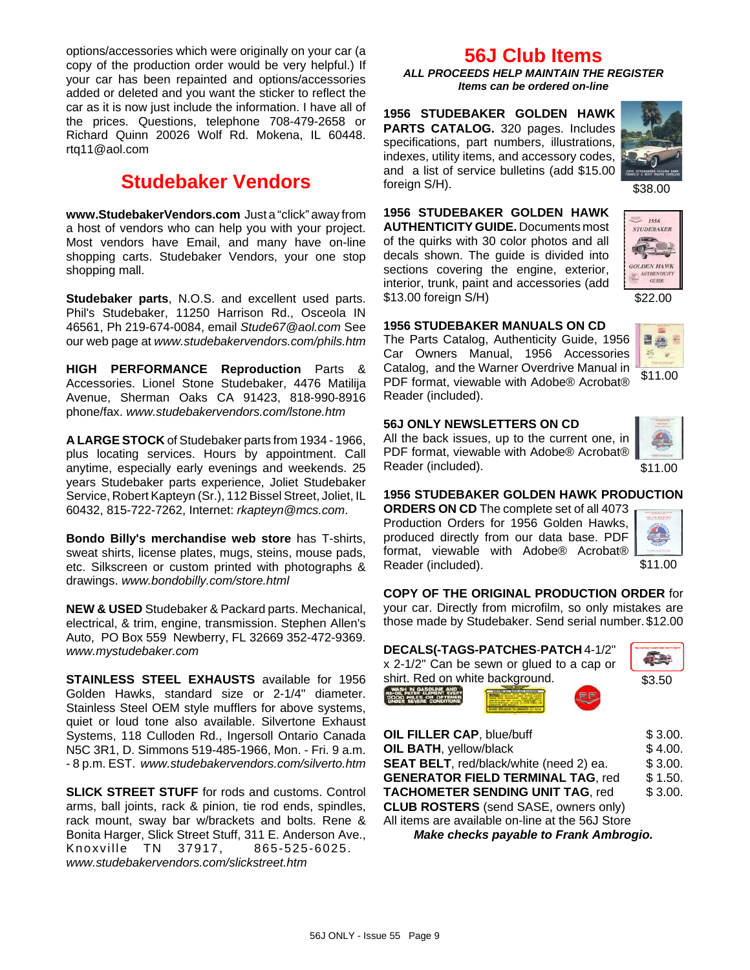options/accessories which were originally on your car (a copy of the production order would be very helpful.) If your car has been repainted and options/accessories added or deleted and you want the sticker to reflect the car as it is now just include the information. I have all of the prices. Questions, telephone 708-479-2658 or Richard Quinn 20026 Wolf Rd. Mokena, IL 60448. rtq11@aol.com

## **Studebaker Vendors**

**www.StudebakerVendors.com** Just a "click" away from a host of vendors who can help you with your project. Most vendors have Email, and many have on-line shopping carts. Studebaker Vendors, your one stop shopping mall.

**Studebaker parts**, N.O.S. and excellent used parts. Phil's Studebaker, 11250 Harrison Rd., Osceola IN 46561, Ph 219-674-0084, email *Stude67@aol.com* See our web page at *www.studebakervendors.com/phils.htm*

**HIGH PERFORMANCE Reproduction** Parts & Accessories. Lionel Stone Studebaker, 4476 Matilija Avenue, Sherman Oaks CA 91423, 818-990-8916 phone/fax. *www.studebakervendors.com/lstone.htm*

**A LARGE STOCK** of Studebaker parts from 1934 - 1966, plus locating services. Hours by appointment. Call anytime, especially early evenings and weekends. 25 years Studebaker parts experience, Joliet Studebaker Service, Robert Kapteyn (Sr.), 112 Bissel Street, Joliet, IL 60432, 815-722-7262, Internet: *rkapteyn@mcs.com*.

**Bondo Billy's merchandise web store** has T-shirts, sweat shirts, license plates, mugs, steins, mouse pads, etc. Silkscreen or custom printed with photographs & drawings. *www.bondobilly.com/store.html*

**NEW & USED** Studebaker & Packard parts. Mechanical, electrical, & trim, engine, transmission. Stephen Allen's Auto, PO Box 559 Newberry, FL 32669 352-472-9369. *www.mystudebaker.com*

**STAINLESS STEEL EXHAUSTS** available for 1956 Golden Hawks, standard size or 2-1/4" diameter. Stainless Steel OEM style mufflers for above systems, quiet or loud tone also available. Silvertone Exhaust Systems, 118 Culloden Rd., Ingersoll Ontario Canada N5C 3R1, D. Simmons 519-485-1966, Mon. - Fri. 9 a.m. - 8 p.m. EST. *www.studebakervendors.com/silverto.htm*

**SLICK STREET STUFF** for rods and customs. Control arms, ball joints, rack & pinion, tie rod ends, spindles, rack mount, sway bar w/brackets and bolts. Rene & Bonita Harger, Slick Street Stuff, 311 E. Anderson Ave., Knoxville TN 37917, 865-525-6025. *www.studebakervendors.com/slickstreet.htm*

### **56J Club Items**

*ALL PROCEEDS HELP MAINTAIN THE REGISTER Items can be ordered on-line*

**1956 STUDEBAKER GOLDEN HAWK PARTS CATALOG.** 320 pages. Includes specifications, part numbers, illustrations, indexes, utility items, and accessory codes, and a list of service bulletins (add \$15.00 foreign S/H).



**1956 STUDEBAKER GOLDEN HAWK AUTHENTICITY GUIDE.** Documents most of the quirks with 30 color photos and all decals shown. The guide is divided into sections covering the engine, exterior, interior, trunk, paint and accessories (add \$13.00 foreign S/H)



 $1956$ STUDEBAKER

### **1956 STUDEBAKER MANUALS ON CD**

The Parts Catalog, Authenticity Guide, 1956 Car Owners Manual, 1956 Accessories Catalog, and the Warner Overdrive Manual in PDF format, viewable with Adobe® Acrobat® Reader (included).



### **56J ONLY NEWSLETTERS ON CD**

All the back issues, up to the current one, in PDF format, viewable with Adobe® Acrobat® Reader (included).



\$11.00

### **1956 STUDEBAKER GOLDEN HAWK PRODUCTION**

**ORDERS ON CD** The complete set of all 4073 Production Orders for 1956 Golden Hawks, produced directly from our data base. PDF format, viewable with Adobe® Acrobat® Reader (included).



\$11.00

### **COPY OF THE ORIGINAL PRODUCTION ORDER** for

your car. Directly from microfilm, so only mistakes are those made by Studebaker. Send serial number. \$12.00

| DECALS(-TAGS-PATCHES-PATCH 4-1/2"<br>x 2-1/2" Can be sewn or glued to a cap or<br>shirt. Red on white background. | \$3.50  |
|-------------------------------------------------------------------------------------------------------------------|---------|
| OIL FILLER CAP, blue/buff                                                                                         | \$3.00. |
| OIL BATH, yellow/black                                                                                            | \$4.00. |

**SEAT BELT**, red/black/white (need 2) ea. \$ 3.00. **GENERATOR FIELD TERMINAL TAG, red \$ 1.50. TACHOMETER SENDING UNIT TAG. red \$ 3.00. CLUB ROSTERS** (send SASE, owners only)

All items are available on-line at the 56J Store

*Make checks payable to Frank Ambrogio.*